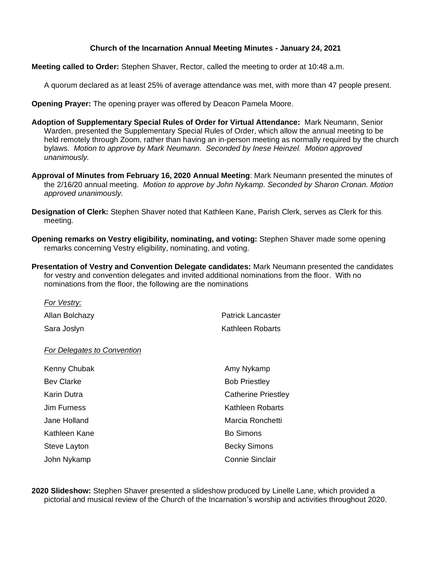## **Church of the Incarnation Annual Meeting Minutes - January 24, 2021**

**Meeting called to Order:** Stephen Shaver, Rector, called the meeting to order at 10:48 a.m.

A quorum declared as at least 25% of average attendance was met, with more than 47 people present.

**Opening Prayer:** The opening prayer was offered by Deacon Pamela Moore.

- **Adoption of Supplementary Special Rules of Order for Virtual Attendance:** Mark Neumann, Senior Warden, presented the Supplementary Special Rules of Order, which allow the annual meeting to be held remotely through Zoom, rather than having an in-person meeting as normally required by the church bylaws. *Motion to approve by Mark Neumann. Seconded by Inese Heinzel. Motion approved unanimously.*
- **Approval of Minutes from February 16, 2020 Annual Meeting**: Mark Neumann presented the minutes of the 2/16/20 annual meeting*. Motion to approve by John Nykamp. Seconded by Sharon Cronan. Motion approved unanimously.*
- **Designation of Clerk:** Stephen Shaver noted that Kathleen Kane, Parish Clerk, serves as Clerk for this meeting.
- **Opening remarks on Vestry eligibility, nominating, and voting:** Stephen Shaver made some opening remarks concerning Vestry eligibility, nominating, and voting.
- **Presentation of Vestry and Convention Delegate candidates:** Mark Neumann presented the candidates for vestry and convention delegates and invited additional nominations from the floor. With no nominations from the floor, the following are the nominations

| For Vestry:                 |                            |
|-----------------------------|----------------------------|
| Allan Bolchazy              | Patrick Lancaster          |
| Sara Joslyn                 | Kathleen Robarts           |
| For Delegates to Convention |                            |
| Kenny Chubak                | Amy Nykamp                 |
| <b>Bev Clarke</b>           | <b>Bob Priestley</b>       |
| Karin Dutra                 | <b>Catherine Priestley</b> |
| Jim Furness                 | <b>Kathleen Robarts</b>    |
| Jane Holland                | Marcia Ronchetti           |
| Kathleen Kane               | <b>Bo Simons</b>           |
| Steve Layton                | <b>Becky Simons</b>        |
| John Nykamp                 | Connie Sinclair            |

**2020 Slideshow:** Stephen Shaver presented a slideshow produced by Linelle Lane, which provided a pictorial and musical review of the Church of the Incarnation's worship and activities throughout 2020.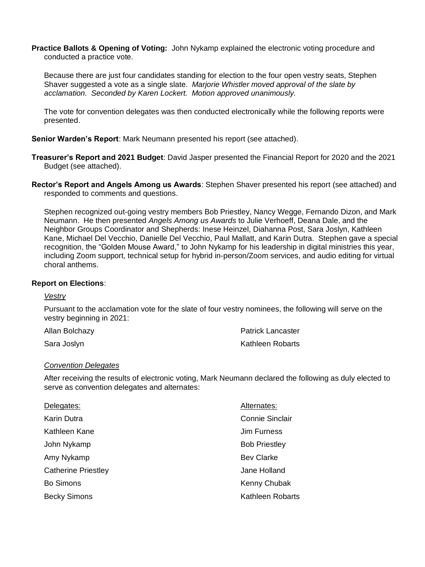**Practice Ballots & Opening of Voting:** John Nykamp explained the electronic voting procedure and conducted a practice vote.

Because there are just four candidates standing for election to the four open vestry seats, Stephen Shaver suggested a vote as a single slate. *Marjorie Whistler moved approval of the slate by acclamation. Seconded by Karen Lockert. Motion approved unanimously.*

The vote for convention delegates was then conducted electronically while the following reports were presented.

**Senior Warden's Report**: Mark Neumann presented his report (see attached).

- **Treasurer's Report and 2021 Budget**: David Jasper presented the Financial Report for 2020 and the 2021 Budget (see attached).
- **Rector's Report and Angels Among us Awards**: Stephen Shaver presented his report (see attached) and responded to comments and questions.

Stephen recognized out-going vestry members Bob Priestley, Nancy Wegge, Fernando Dizon, and Mark Neumann. He then presented *Angels Among us Awards* to Julie Verhoeff, Deana Dale, and the Neighbor Groups Coordinator and Shepherds: Inese Heinzel, Diahanna Post, Sara Joslyn, Kathleen Kane, Michael Del Vecchio, Danielle Del Vecchio, Paul Mallatt, and Karin Dutra. Stephen gave a special recognition, the "Golden Mouse Award," to John Nykamp for his leadership in digital ministries this year, including Zoom support, technical setup for hybrid in-person/Zoom services, and audio editing for virtual choral anthems.

## **Report on Elections**:

## *Vestry*

Pursuant to the acclamation vote for the slate of four vestry nominees, the following will serve on the vestry beginning in 2021:

| Allan Bolchazy | <b>Patrick Lancaster</b> |
|----------------|--------------------------|
| Sara Joslyn    | Kathleen Robarts         |

## *Convention Delegates*

After receiving the results of electronic voting, Mark Neumann declared the following as duly elected to serve as convention delegates and alternates:

| Delegates:                 | Alternates:          |
|----------------------------|----------------------|
| Karin Dutra                | Connie Sinclair      |
| Kathleen Kane              | Jim Furness          |
| John Nykamp                | <b>Bob Priestley</b> |
| Amy Nykamp                 | <b>Bev Clarke</b>    |
| <b>Catherine Priestley</b> | Jane Holland         |
| <b>Bo Simons</b>           | Kenny Chubak         |
| <b>Becky Simons</b>        | Kathleen Robarts     |